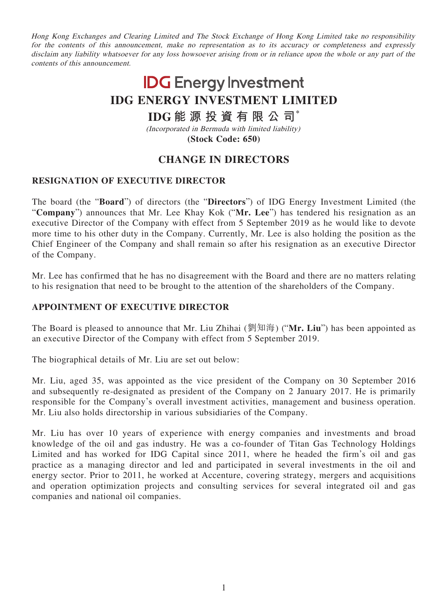Hong Kong Exchanges and Clearing Limited and The Stock Exchange of Hong Kong Limited take no responsibility for the contents of this announcement, make no representation as to its accuracy or completeness and expressly disclaim any liability whatsoever for any loss howsoever arising from or in reliance upon the whole or any part of the contents of this announcement.

# **IDG** Energy Investment **IDG ENERGY INVESTMENT LIMITED**

## **IDG 能源投資有限公司\***

(Incorporated in Bermuda with limited liability) **(Stock Code: 650)**

## **CHANGE IN DIRECTORS**

### **RESIGNATION OF EXECUTIVE DIRECTOR**

The board (the "**Board**") of directors (the "**Directors**") of IDG Energy Investment Limited (the "**Company**") announces that Mr. Lee Khay Kok ("**Mr. Lee**") has tendered his resignation as an executive Director of the Company with effect from 5 September 2019 as he would like to devote more time to his other duty in the Company. Currently, Mr. Lee is also holding the position as the Chief Engineer of the Company and shall remain so after his resignation as an executive Director of the Company.

Mr. Lee has confirmed that he has no disagreement with the Board and there are no matters relating to his resignation that need to be brought to the attention of the shareholders of the Company.

#### **APPOINTMENT OF EXECUTIVE DIRECTOR**

The Board is pleased to announce that Mr. Liu Zhihai (劉知海) ("**Mr. Liu**") has been appointed as an executive Director of the Company with effect from 5 September 2019.

The biographical details of Mr. Liu are set out below:

Mr. Liu, aged 35, was appointed as the vice president of the Company on 30 September 2016 and subsequently re-designated as president of the Company on 2 January 2017. He is primarily responsible for the Company's overall investment activities, management and business operation. Mr. Liu also holds directorship in various subsidiaries of the Company.

Mr. Liu has over 10 years of experience with energy companies and investments and broad knowledge of the oil and gas industry. He was a co-founder of Titan Gas Technology Holdings Limited and has worked for IDG Capital since 2011, where he headed the firm's oil and gas practice as a managing director and led and participated in several investments in the oil and energy sector. Prior to 2011, he worked at Accenture, covering strategy, mergers and acquisitions and operation optimization projects and consulting services for several integrated oil and gas companies and national oil companies.